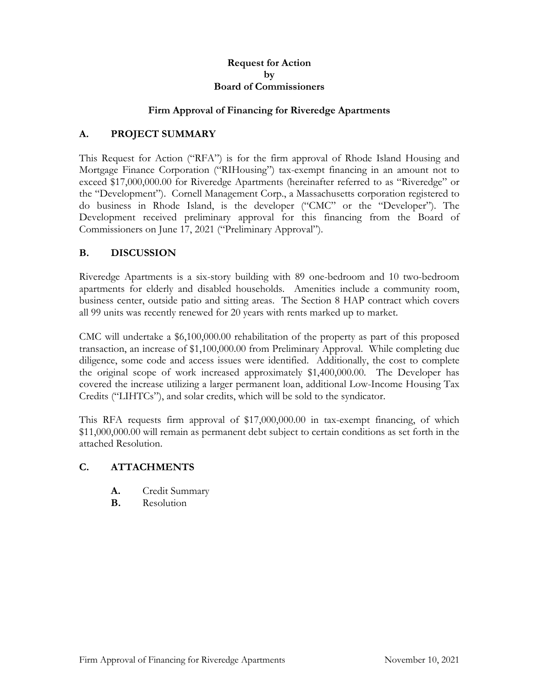#### **Request for Action by Board of Commissioners**

#### **Firm Approval of Financing for Riveredge Apartments**

# **A. PROJECT SUMMARY**

This Request for Action ("RFA") is for the firm approval of Rhode Island Housing and Mortgage Finance Corporation ("RIHousing") tax-exempt financing in an amount not to exceed \$17,000,000.00 for Riveredge Apartments (hereinafter referred to as "Riveredge" or the "Development"). Cornell Management Corp., a Massachusetts corporation registered to do business in Rhode Island, is the developer ("CMC" or the "Developer"). The Development received preliminary approval for this financing from the Board of Commissioners on June 17, 2021 ("Preliminary Approval").

# **B. DISCUSSION**

Riveredge Apartments is a six-story building with 89 one-bedroom and 10 two-bedroom apartments for elderly and disabled households. Amenities include a community room, business center, outside patio and sitting areas. The Section 8 HAP contract which covers all 99 units was recently renewed for 20 years with rents marked up to market.

CMC will undertake a \$6,100,000.00 rehabilitation of the property as part of this proposed transaction, an increase of \$1,100,000.00 from Preliminary Approval. While completing due diligence, some code and access issues were identified. Additionally, the cost to complete the original scope of work increased approximately \$1,400,000.00. The Developer has covered the increase utilizing a larger permanent loan, additional Low-Income Housing Tax Credits ("LIHTCs"), and solar credits, which will be sold to the syndicator.

This RFA requests firm approval of \$17,000,000.00 in tax-exempt financing, of which \$11,000,000.00 will remain as permanent debt subject to certain conditions as set forth in the attached Resolution.

### **C. ATTACHMENTS**

- **A.** Credit Summary
- **B.** Resolution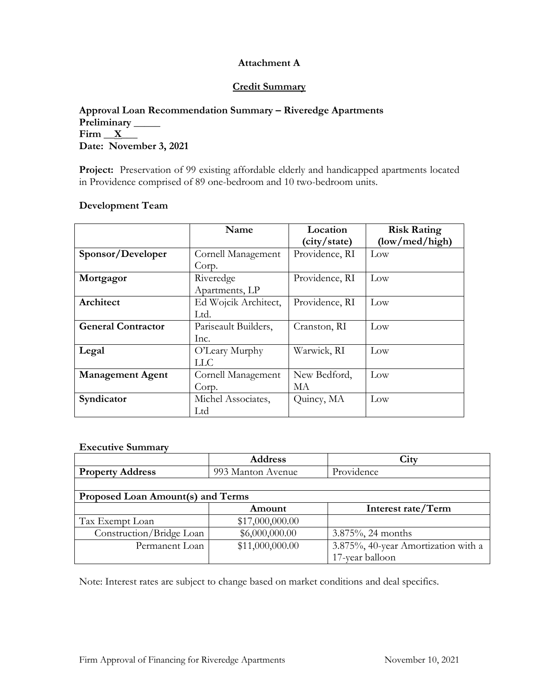# **Attachment A**

#### **Credit Summary**

## **Approval Loan Recommendation Summary – Riveredge Apartments Preliminary \_\_\_\_\_**  $Firm \_ X$ **Date: November 3, 2021**

Project: Preservation of 99 existing affordable elderly and handicapped apartments located in Providence comprised of 89 one-bedroom and 10 two-bedroom units.

#### **Development Team**

|                                               | Name                 | Location       | <b>Risk Rating</b> |  |
|-----------------------------------------------|----------------------|----------------|--------------------|--|
|                                               |                      | (city/state)   | (low/med/high)     |  |
| Sponsor/Developer                             | Cornell Management   | Providence, RI | Low                |  |
|                                               | Corp.                |                |                    |  |
| Mortgagor                                     | Riveredge            | Providence, RI | Low                |  |
|                                               | Apartments, LP       |                |                    |  |
| Architect                                     | Ed Wojcik Architect, | Providence, RI | Low                |  |
|                                               | Ltd.                 |                |                    |  |
| <b>General Contractor</b>                     | Pariseault Builders, | Cranston, RI   | Low                |  |
|                                               | Inc.                 |                |                    |  |
| Legal                                         | O'Leary Murphy       | Warwick, RI    | Low                |  |
|                                               | LLC.                 |                |                    |  |
| <b>Management Agent</b><br>Cornell Management |                      | New Bedford,   | Low                |  |
|                                               | Corp.                | МA             |                    |  |
| Syndicator                                    | Michel Associates,   |                | Low                |  |
|                                               | Ltd                  |                |                    |  |

#### **Executive Summary**

|                                   | <b>Address</b>    | City                                |
|-----------------------------------|-------------------|-------------------------------------|
| <b>Property Address</b>           | 993 Manton Avenue | Providence                          |
|                                   |                   |                                     |
| Proposed Loan Amount(s) and Terms |                   |                                     |
|                                   | Amount            | Interest rate/Term                  |
| Tax Exempt Loan                   | \$17,000,000.00   |                                     |
| Construction/Bridge Loan          | \$6,000,000.00    | $3.875\%$ , 24 months               |
| Permanent Loan                    | \$11,000,000.00   | 3.875%, 40-year Amortization with a |
|                                   |                   | 17-year balloon                     |

Note: Interest rates are subject to change based on market conditions and deal specifics.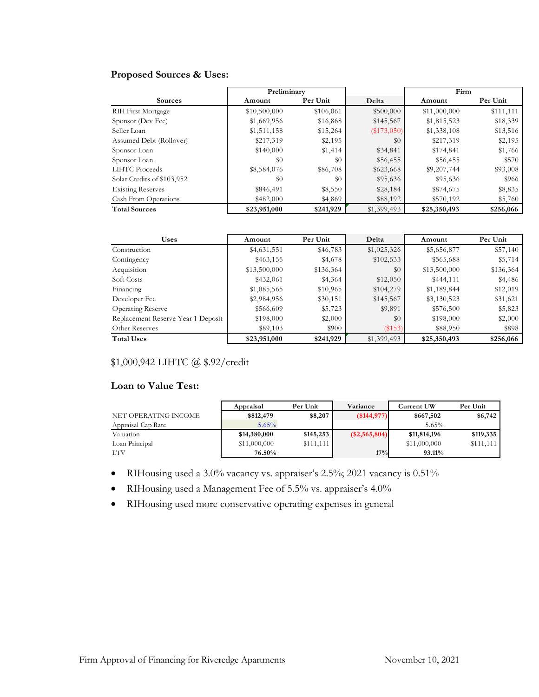# **Proposed Sources & Uses:**

|                            | Preliminary  |           |               | Firm         |           |
|----------------------------|--------------|-----------|---------------|--------------|-----------|
| <b>Sources</b>             | Amount       | Per Unit  | Delta         | Amount       | Per Unit  |
| RIH First Mortgage         | \$10,500,000 | \$106,061 | \$500,000     | \$11,000,000 | \$111,111 |
| Sponsor (Dev Fee)          | \$1,669,956  | \$16,868  | \$145,567     | \$1,815,523  | \$18,339  |
| Seller Loan                | \$1,511,158  | \$15,264  | $(\$173,050)$ | \$1,338,108  | \$13,516  |
| Assumed Debt (Rollover)    | \$217,319    | \$2,195   | \$0           | \$217,319    | \$2,195   |
| Sponsor Loan               | \$140,000    | \$1,414   | \$34,841      | \$174,841    | \$1,766   |
| Sponsor Loan               | \$0          | \$0       | \$56,455      | \$56,455     | \$570     |
| LIHTC Proceeds             | \$8,584,076  | \$86,708  | \$623,668     | \$9,207,744  | \$93,008  |
| Solar Credits of \$103,952 | \$0          | \$0       | \$95,636      | \$95,636     | \$966     |
| <b>Existing Reserves</b>   | \$846,491    | \$8,550   | \$28,184      | \$874,675    | \$8,835   |
| Cash From Operations       | \$482,000    | \$4,869   | \$88,192      | \$570,192    | \$5,760   |
| <b>Total Sources</b>       | \$23,951,000 | \$241,929 | \$1,399,493   | \$25,350,493 | \$256,066 |

| <b>Uses</b>                        | Amount       | Per Unit  | Delta       | Amount       | Per Unit  |
|------------------------------------|--------------|-----------|-------------|--------------|-----------|
| Construction                       | \$4,631,551  | \$46,783  | \$1,025,326 | \$5,656,877  | \$57,140  |
| Contingency                        | \$463,155    | \$4,678   | \$102,533   | \$565,688    | \$5,714   |
| Acquisition                        | \$13,500,000 | \$136,364 | \$0         | \$13,500,000 | \$136,364 |
| Soft Costs                         | \$432,061    | \$4,364   | \$12,050    | \$444,111    | \$4,486   |
| Financing                          | \$1,085,565  | \$10,965  | \$104,279   | \$1,189,844  | \$12,019  |
| Developer Fee                      | \$2,984,956  | \$30,151  | \$145,567   | \$3,130,523  | \$31,621  |
| Operating Reserve                  | \$566,609    | \$5,723   | \$9,891     | \$576,500    | \$5,823   |
| Replacement Reserve Year 1 Deposit | \$198,000    | \$2,000   | \$0         | \$198,000    | \$2,000   |
| Other Reserves                     | \$89,103     | \$900     | (\$153)     | \$88,950     | \$898     |
| <b>Total Uses</b>                  | \$23,951,000 | \$241,929 | \$1,399,493 | \$25,350,493 | \$256,066 |

# \$1,000,942 LIHTC @ \$.92/credit

#### **Loan to Value Test:**

|                      | Appraisal    | Per Unit  | Variance      | <b>Current UW</b> | Per Unit  |
|----------------------|--------------|-----------|---------------|-------------------|-----------|
| NET OPERATING INCOME | \$812,479    | \$8,207   | (\$144,977)   | \$667,502         | \$6,742   |
| Appraisal Cap Rate   | 5.65%        |           |               | 5.65%             |           |
| Valuation            | \$14,380,000 | \$145,253 | (\$2,565,804) | \$11,814,196      | \$119,335 |
| Loan Principal       | \$11,000,000 | \$111,111 |               | \$11,000,000      | \$111,111 |
| LTV                  | 76.50%       |           | 17%           | 93.11%            |           |

- RIHousing used a 3.0% vacancy vs. appraiser's 2.5%; 2021 vacancy is 0.51%
- RIHousing used a Management Fee of 5.5% vs. appraiser's 4.0%
- RIHousing used more conservative operating expenses in general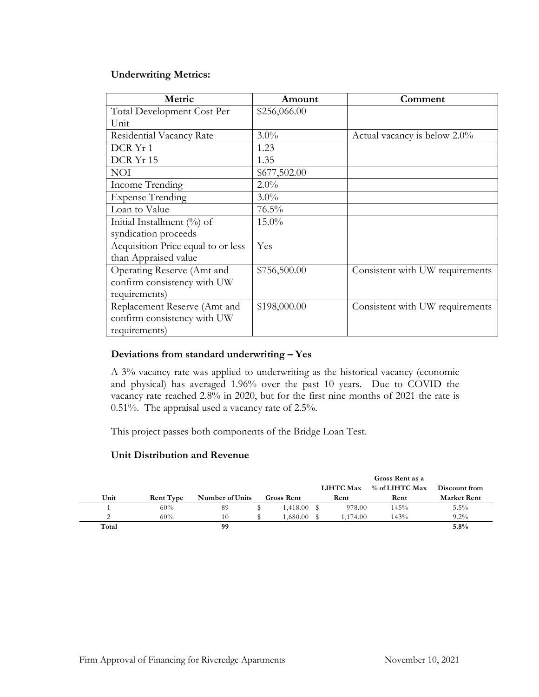### **Underwriting Metrics:**

| Metric                             | Amount       | Comment                         |
|------------------------------------|--------------|---------------------------------|
| Total Development Cost Per         | \$256,066.00 |                                 |
| Unit                               |              |                                 |
| Residential Vacancy Rate           | $3.0\%$      | Actual vacancy is below 2.0%    |
| DCR Yr 1                           | 1.23         |                                 |
| DCR Yr 15                          | 1.35         |                                 |
| <b>NOI</b>                         | \$677,502.00 |                                 |
| Income Trending                    | $2.0\%$      |                                 |
| <b>Expense Trending</b>            | $3.0\%$      |                                 |
| Loan to Value                      | 76.5%        |                                 |
| Initial Installment $(\%)$ of      | $15.0\%$     |                                 |
| syndication proceeds               |              |                                 |
| Acquisition Price equal to or less | Yes          |                                 |
| than Appraised value               |              |                                 |
| Operating Reserve (Amt and         | \$756,500.00 | Consistent with UW requirements |
| confirm consistency with UW        |              |                                 |
| requirements)                      |              |                                 |
| Replacement Reserve (Amt and       | \$198,000.00 | Consistent with UW requirements |
| confirm consistency with UW        |              |                                 |
| requirements)                      |              |                                 |

### **Deviations from standard underwriting – Yes**

A 3% vacancy rate was applied to underwriting as the historical vacancy (economic and physical) has averaged 1.96% over the past 10 years. Due to COVID the vacancy rate reached 2.8% in 2020, but for the first nine months of 2021 the rate is 0.51%. The appraisal used a vacancy rate of 2.5%.

This project passes both components of the Bridge Loan Test.

#### **Unit Distribution and Revenue**

|       |                  |                 |                   |                  | Gross Rent as a |                    |
|-------|------------------|-----------------|-------------------|------------------|-----------------|--------------------|
|       |                  |                 |                   | <b>LIHTC Max</b> | % of LIHTC Max  | Discount from      |
| Unit  | <b>Rent Type</b> | Number of Units | <b>Gross Rent</b> | Rent             | Rent            | <b>Market Rent</b> |
|       | 60%              | 89              | 1.418.00          | 978.00           | 145%            | $5.5\%$            |
|       | 60%              | 10              | 1,680.00          | 1.174.00         | 143%            | $9.2\%$            |
| Total |                  | 99              |                   |                  |                 | 5.8%               |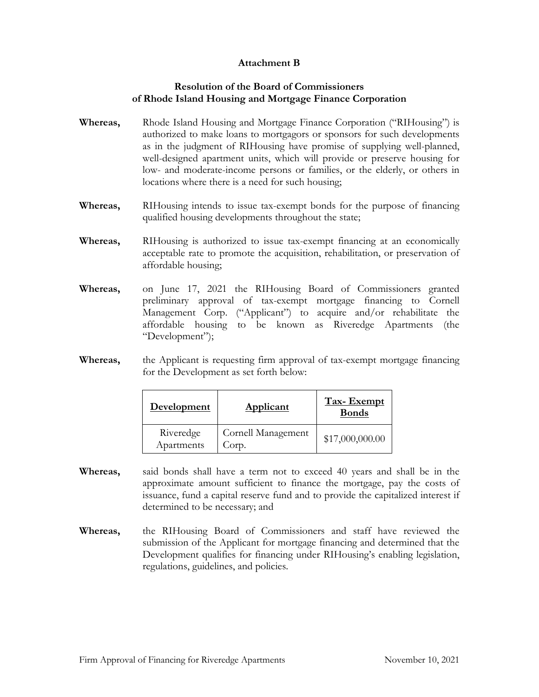## **Attachment B**

### **Resolution of the Board of Commissioners of Rhode Island Housing and Mortgage Finance Corporation**

- **Whereas,** Rhode Island Housing and Mortgage Finance Corporation ("RIHousing") is authorized to make loans to mortgagors or sponsors for such developments as in the judgment of RIHousing have promise of supplying well-planned, well-designed apartment units, which will provide or preserve housing for low- and moderate-income persons or families, or the elderly, or others in locations where there is a need for such housing;
- **Whereas,** RIHousing intends to issue tax-exempt bonds for the purpose of financing qualified housing developments throughout the state;
- **Whereas,** RIHousing is authorized to issue tax-exempt financing at an economically acceptable rate to promote the acquisition, rehabilitation, or preservation of affordable housing;
- **Whereas,** on June 17, 2021 the RIHousing Board of Commissioners granted preliminary approval of tax-exempt mortgage financing to Cornell Management Corp. ("Applicant") to acquire and/or rehabilitate the affordable housing to be known as Riveredge Apartments (the "Development");
- **Whereas,** the Applicant is requesting firm approval of tax-exempt mortgage financing for the Development as set forth below:

| <b>Development</b>      | <b>Applicant</b>            | <b>Tax-Exempt</b><br><b>Bonds</b> |
|-------------------------|-----------------------------|-----------------------------------|
| Riveredge<br>Apartments | Cornell Management<br>Corp. | \$17,000,000.00                   |

- **Whereas,** said bonds shall have a term not to exceed 40 years and shall be in the approximate amount sufficient to finance the mortgage, pay the costs of issuance, fund a capital reserve fund and to provide the capitalized interest if determined to be necessary; and
- **Whereas,** the RIHousing Board of Commissioners and staff have reviewed the submission of the Applicant for mortgage financing and determined that the Development qualifies for financing under RIHousing's enabling legislation, regulations, guidelines, and policies.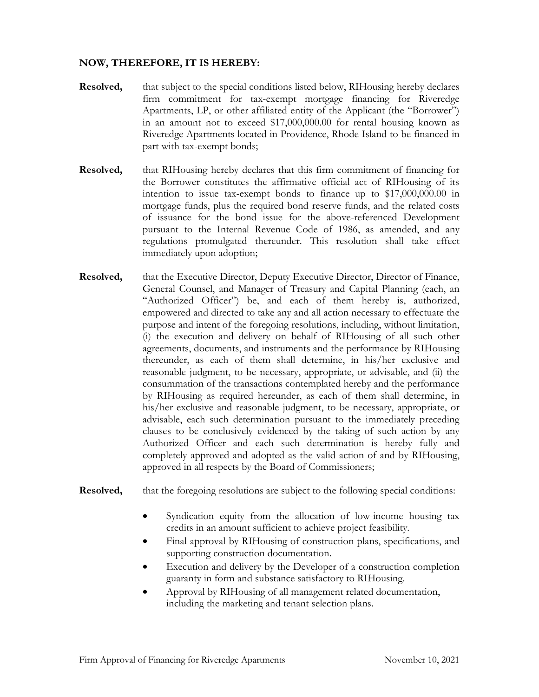# **NOW, THEREFORE, IT IS HEREBY:**

- **Resolved,** that subject to the special conditions listed below, RIHousing hereby declares firm commitment for tax-exempt mortgage financing for Riveredge Apartments, LP, or other affiliated entity of the Applicant (the "Borrower") in an amount not to exceed \$17,000,000.00 for rental housing known as Riveredge Apartments located in Providence, Rhode Island to be financed in part with tax-exempt bonds;
- **Resolved,** that RIHousing hereby declares that this firm commitment of financing for the Borrower constitutes the affirmative official act of RIHousing of its intention to issue tax-exempt bonds to finance up to \$17,000,000.00 in mortgage funds, plus the required bond reserve funds, and the related costs of issuance for the bond issue for the above-referenced Development pursuant to the Internal Revenue Code of 1986, as amended, and any regulations promulgated thereunder. This resolution shall take effect immediately upon adoption;
- **Resolved,** that the Executive Director, Deputy Executive Director, Director of Finance, General Counsel, and Manager of Treasury and Capital Planning (each, an "Authorized Officer") be, and each of them hereby is, authorized, empowered and directed to take any and all action necessary to effectuate the purpose and intent of the foregoing resolutions, including, without limitation, (i) the execution and delivery on behalf of RIHousing of all such other agreements, documents, and instruments and the performance by RIHousing thereunder, as each of them shall determine, in his/her exclusive and reasonable judgment, to be necessary, appropriate, or advisable, and (ii) the consummation of the transactions contemplated hereby and the performance by RIHousing as required hereunder, as each of them shall determine, in his/her exclusive and reasonable judgment, to be necessary, appropriate, or advisable, each such determination pursuant to the immediately preceding clauses to be conclusively evidenced by the taking of such action by any Authorized Officer and each such determination is hereby fully and completely approved and adopted as the valid action of and by RIHousing, approved in all respects by the Board of Commissioners;

**Resolved,** that the foregoing resolutions are subject to the following special conditions:

- Syndication equity from the allocation of low-income housing tax credits in an amount sufficient to achieve project feasibility.
- Final approval by RIHousing of construction plans, specifications, and supporting construction documentation.
- Execution and delivery by the Developer of a construction completion guaranty in form and substance satisfactory to RIHousing.
- Approval by RIHousing of all management related documentation, including the marketing and tenant selection plans.